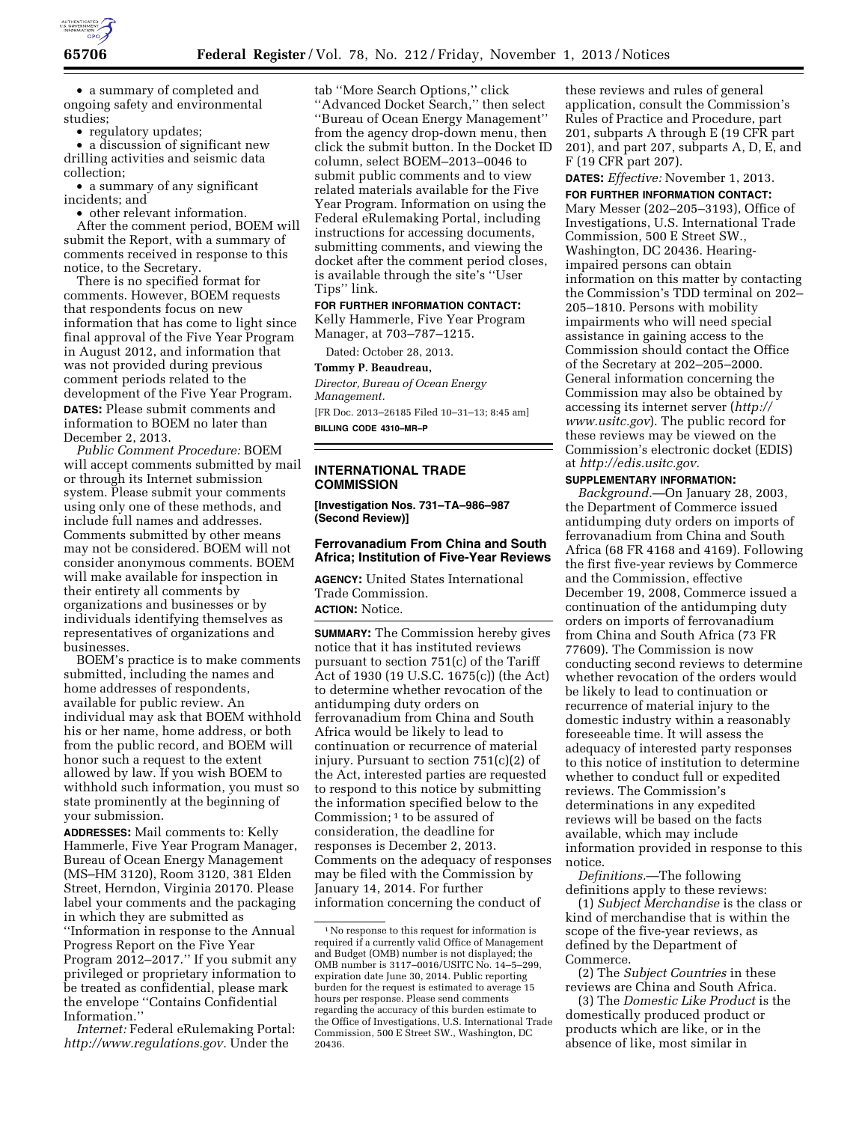

• a summary of completed and ongoing safety and environmental studies;

• regulatory updates;

• a discussion of significant new drilling activities and seismic data collection;

• a summary of any significant incidents; and

• other relevant information. After the comment period, BOEM will submit the Report, with a summary of comments received in response to this notice, to the Secretary.

There is no specified format for comments. However, BOEM requests that respondents focus on new information that has come to light since final approval of the Five Year Program in August 2012, and information that was not provided during previous comment periods related to the development of the Five Year Program. **DATES:** Please submit comments and information to BOEM no later than December 2, 2013.

*Public Comment Procedure:* BOEM will accept comments submitted by mail or through its Internet submission system. Please submit your comments using only one of these methods, and include full names and addresses. Comments submitted by other means may not be considered. BOEM will not consider anonymous comments. BOEM will make available for inspection in their entirety all comments by organizations and businesses or by individuals identifying themselves as representatives of organizations and businesses.

BOEM's practice is to make comments submitted, including the names and home addresses of respondents, available for public review. An individual may ask that BOEM withhold his or her name, home address, or both from the public record, and BOEM will honor such a request to the extent allowed by law. If you wish BOEM to withhold such information, you must so state prominently at the beginning of your submission.

**ADDRESSES:** Mail comments to: Kelly Hammerle, Five Year Program Manager, Bureau of Ocean Energy Management (MS–HM 3120), Room 3120, 381 Elden Street, Herndon, Virginia 20170. Please label your comments and the packaging in which they are submitted as ''Information in response to the Annual Progress Report on the Five Year Program 2012–2017.'' If you submit any privileged or proprietary information to be treated as confidential, please mark the envelope ''Contains Confidential Information.''

*Internet:* Federal eRulemaking Portal: *[http://www.regulations.gov.](http://www.regulations.gov)* Under the

tab ''More Search Options,'' click ''Advanced Docket Search,'' then select ''Bureau of Ocean Energy Management'' from the agency drop-down menu, then click the submit button. In the Docket ID column, select BOEM–2013–0046 to submit public comments and to view related materials available for the Five Year Program. Information on using the Federal eRulemaking Portal, including instructions for accessing documents, submitting comments, and viewing the docket after the comment period closes, is available through the site's ''User Tips'' link.

#### **FOR FURTHER INFORMATION CONTACT:**

Kelly Hammerle, Five Year Program Manager, at 703–787–1215.

Dated: October 28, 2013.

**Tommy P. Beaudreau,** 

*Director, Bureau of Ocean Energy Management.*  [FR Doc. 2013–26185 Filed 10–31–13; 8:45 am]

**BILLING CODE 4310–MR–P** 

## **INTERNATIONAL TRADE COMMISSION**

**[Investigation Nos. 731–TA–986–987 (Second Review)]** 

## **Ferrovanadium From China and South Africa; Institution of Five-Year Reviews**

**AGENCY:** United States International Trade Commission. **ACTION:** Notice.

**SUMMARY:** The Commission hereby gives notice that it has instituted reviews pursuant to section 751(c) of the Tariff Act of 1930 (19 U.S.C. 1675(c)) (the Act) to determine whether revocation of the antidumping duty orders on ferrovanadium from China and South Africa would be likely to lead to continuation or recurrence of material injury. Pursuant to section 751(c)(2) of the Act, interested parties are requested to respond to this notice by submitting the information specified below to the Commission; 1 to be assured of consideration, the deadline for responses is December 2, 2013. Comments on the adequacy of responses may be filed with the Commission by January 14, 2014. For further information concerning the conduct of

these reviews and rules of general application, consult the Commission's Rules of Practice and Procedure, part 201, subparts A through E (19 CFR part 201), and part 207, subparts A, D, E, and F (19 CFR part 207).

**DATES:** *Effective:* November 1, 2013.

**FOR FURTHER INFORMATION CONTACT:**  Mary Messer (202–205–3193), Office of Investigations, U.S. International Trade Commission, 500 E Street SW., Washington, DC 20436. Hearingimpaired persons can obtain information on this matter by contacting the Commission's TDD terminal on 202– 205–1810. Persons with mobility impairments who will need special assistance in gaining access to the Commission should contact the Office of the Secretary at 202–205–2000. General information concerning the Commission may also be obtained by accessing its internet server (*[http://](http://www.usitc.gov)  [www.usitc.gov](http://www.usitc.gov)*). The public record for these reviews may be viewed on the Commission's electronic docket (EDIS) at *[http://edis.usitc.gov.](http://edis.usitc.gov)* 

## **SUPPLEMENTARY INFORMATION:**

*Background.*—On January 28, 2003, the Department of Commerce issued antidumping duty orders on imports of ferrovanadium from China and South Africa (68 FR 4168 and 4169). Following the first five-year reviews by Commerce and the Commission, effective December 19, 2008, Commerce issued a continuation of the antidumping duty orders on imports of ferrovanadium from China and South Africa (73 FR 77609). The Commission is now conducting second reviews to determine whether revocation of the orders would be likely to lead to continuation or recurrence of material injury to the domestic industry within a reasonably foreseeable time. It will assess the adequacy of interested party responses to this notice of institution to determine whether to conduct full or expedited reviews. The Commission's determinations in any expedited reviews will be based on the facts available, which may include information provided in response to this notice.

*Definitions.*—The following definitions apply to these reviews:

(1) *Subject Merchandise* is the class or kind of merchandise that is within the scope of the five-year reviews, as defined by the Department of Commerce.

(2) The *Subject Countries* in these reviews are China and South Africa.

(3) The *Domestic Like Product* is the domestically produced product or products which are like, or in the absence of like, most similar in

<sup>1</sup>No response to this request for information is required if a currently valid Office of Management and Budget (OMB) number is not displayed; the OMB number is 3117–0016/USITC No. 14–5–299, expiration date June 30, 2014. Public reporting burden for the request is estimated to average 15 hours per response. Please send comments regarding the accuracy of this burden estimate to the Office of Investigations, U.S. International Trade Commission, 500 E Street SW., Washington, DC 20436.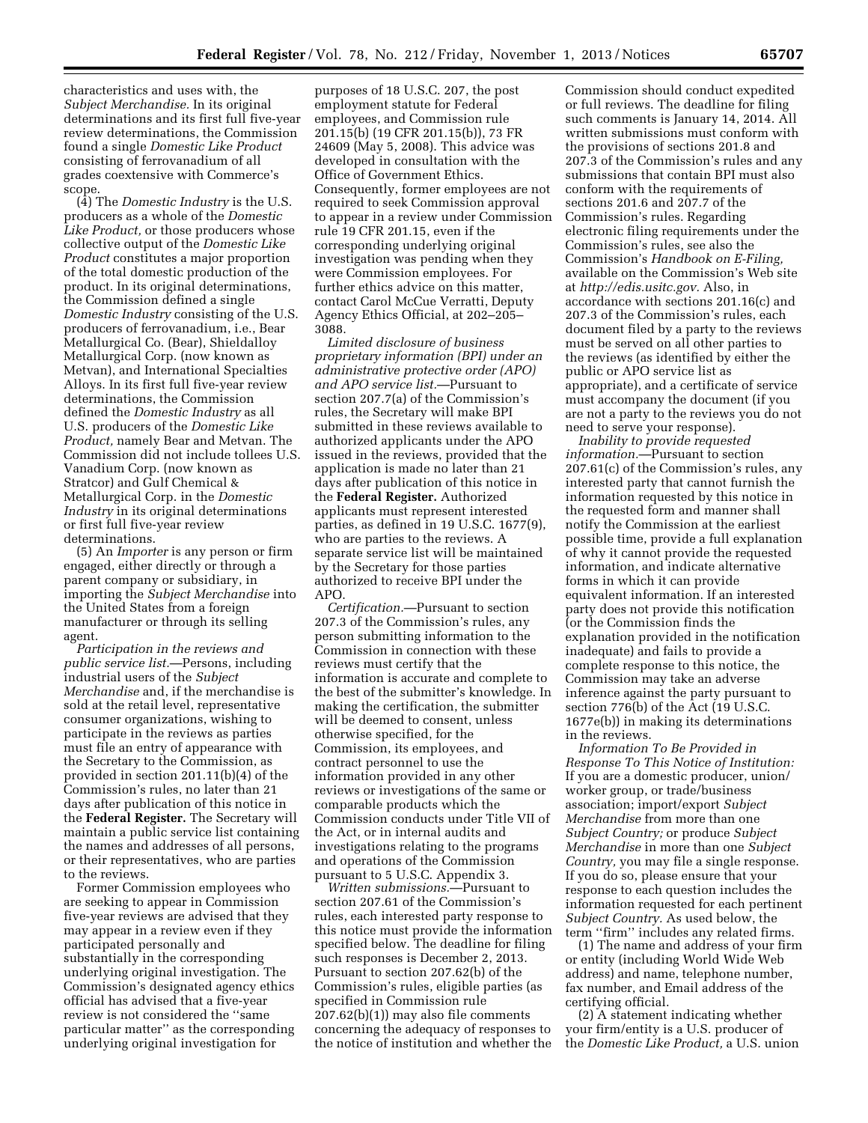characteristics and uses with, the *Subject Merchandise.* In its original determinations and its first full five-year review determinations, the Commission found a single *Domestic Like Product*  consisting of ferrovanadium of all grades coextensive with Commerce's scope.

(4) The *Domestic Industry* is the U.S. producers as a whole of the *Domestic Like Product,* or those producers whose collective output of the *Domestic Like Product* constitutes a major proportion of the total domestic production of the product. In its original determinations, the Commission defined a single *Domestic Industry* consisting of the U.S. producers of ferrovanadium, i.e., Bear Metallurgical Co. (Bear), Shieldalloy Metallurgical Corp. (now known as Metvan), and International Specialties Alloys. In its first full five-year review determinations, the Commission defined the *Domestic Industry* as all U.S. producers of the *Domestic Like Product,* namely Bear and Metvan. The Commission did not include tollees U.S. Vanadium Corp. (now known as Stratcor) and Gulf Chemical & Metallurgical Corp. in the *Domestic Industry* in its original determinations or first full five-year review determinations.

(5) An *Importer* is any person or firm engaged, either directly or through a parent company or subsidiary, in importing the *Subject Merchandise* into the United States from a foreign manufacturer or through its selling agent.

*Participation in the reviews and public service list.*—Persons, including industrial users of the *Subject Merchandise* and, if the merchandise is sold at the retail level, representative consumer organizations, wishing to participate in the reviews as parties must file an entry of appearance with the Secretary to the Commission, as provided in section 201.11(b)(4) of the Commission's rules, no later than 21 days after publication of this notice in the **Federal Register.** The Secretary will maintain a public service list containing the names and addresses of all persons, or their representatives, who are parties to the reviews.

Former Commission employees who are seeking to appear in Commission five-year reviews are advised that they may appear in a review even if they participated personally and substantially in the corresponding underlying original investigation. The Commission's designated agency ethics official has advised that a five-year review is not considered the ''same particular matter'' as the corresponding underlying original investigation for

purposes of 18 U.S.C. 207, the post employment statute for Federal employees, and Commission rule 201.15(b) (19 CFR 201.15(b)), 73 FR 24609 (May 5, 2008). This advice was developed in consultation with the Office of Government Ethics. Consequently, former employees are not required to seek Commission approval to appear in a review under Commission rule 19 CFR 201.15, even if the corresponding underlying original investigation was pending when they were Commission employees. For further ethics advice on this matter, contact Carol McCue Verratti, Deputy Agency Ethics Official, at 202–205– 3088.

*Limited disclosure of business proprietary information (BPI) under an administrative protective order (APO) and APO service list.*—Pursuant to section 207.7(a) of the Commission's rules, the Secretary will make BPI submitted in these reviews available to authorized applicants under the APO issued in the reviews, provided that the application is made no later than 21 days after publication of this notice in the **Federal Register.** Authorized applicants must represent interested parties, as defined in 19 U.S.C. 1677(9), who are parties to the reviews. A separate service list will be maintained by the Secretary for those parties authorized to receive BPI under the APO.

*Certification.*—Pursuant to section 207.3 of the Commission's rules, any person submitting information to the Commission in connection with these reviews must certify that the information is accurate and complete to the best of the submitter's knowledge. In making the certification, the submitter will be deemed to consent, unless otherwise specified, for the Commission, its employees, and contract personnel to use the information provided in any other reviews or investigations of the same or comparable products which the Commission conducts under Title VII of the Act, or in internal audits and investigations relating to the programs and operations of the Commission pursuant to 5 U.S.C. Appendix 3.

*Written submissions.*—Pursuant to section 207.61 of the Commission's rules, each interested party response to this notice must provide the information specified below. The deadline for filing such responses is December 2, 2013. Pursuant to section 207.62(b) of the Commission's rules, eligible parties (as specified in Commission rule 207.62(b)(1)) may also file comments concerning the adequacy of responses to the notice of institution and whether the

Commission should conduct expedited or full reviews. The deadline for filing such comments is January 14, 2014. All written submissions must conform with the provisions of sections 201.8 and 207.3 of the Commission's rules and any submissions that contain BPI must also conform with the requirements of sections 201.6 and 207.7 of the Commission's rules. Regarding electronic filing requirements under the Commission's rules, see also the Commission's *Handbook on E-Filing,*  available on the Commission's Web site at *[http://edis.usitc.gov.](http://edis.usitc.gov)* Also, in accordance with sections 201.16(c) and 207.3 of the Commission's rules, each document filed by a party to the reviews must be served on all other parties to the reviews (as identified by either the public or APO service list as appropriate), and a certificate of service must accompany the document (if you are not a party to the reviews you do not need to serve your response).

*Inability to provide requested information.*—Pursuant to section 207.61(c) of the Commission's rules, any interested party that cannot furnish the information requested by this notice in the requested form and manner shall notify the Commission at the earliest possible time, provide a full explanation of why it cannot provide the requested information, and indicate alternative forms in which it can provide equivalent information. If an interested party does not provide this notification (or the Commission finds the explanation provided in the notification inadequate) and fails to provide a complete response to this notice, the Commission may take an adverse inference against the party pursuant to section 776(b) of the Act (19 U.S.C. 1677e(b)) in making its determinations in the reviews.

*Information To Be Provided in Response To This Notice of Institution:*  If you are a domestic producer, union/ worker group, or trade/business association; import/export *Subject Merchandise* from more than one *Subject Country;* or produce *Subject Merchandise* in more than one *Subject Country,* you may file a single response. If you do so, please ensure that your response to each question includes the information requested for each pertinent *Subject Country.* As used below, the term ''firm'' includes any related firms.

(1) The name and address of your firm or entity (including World Wide Web address) and name, telephone number, fax number, and Email address of the certifying official.

(2) A statement indicating whether your firm/entity is a U.S. producer of the *Domestic Like Product,* a U.S. union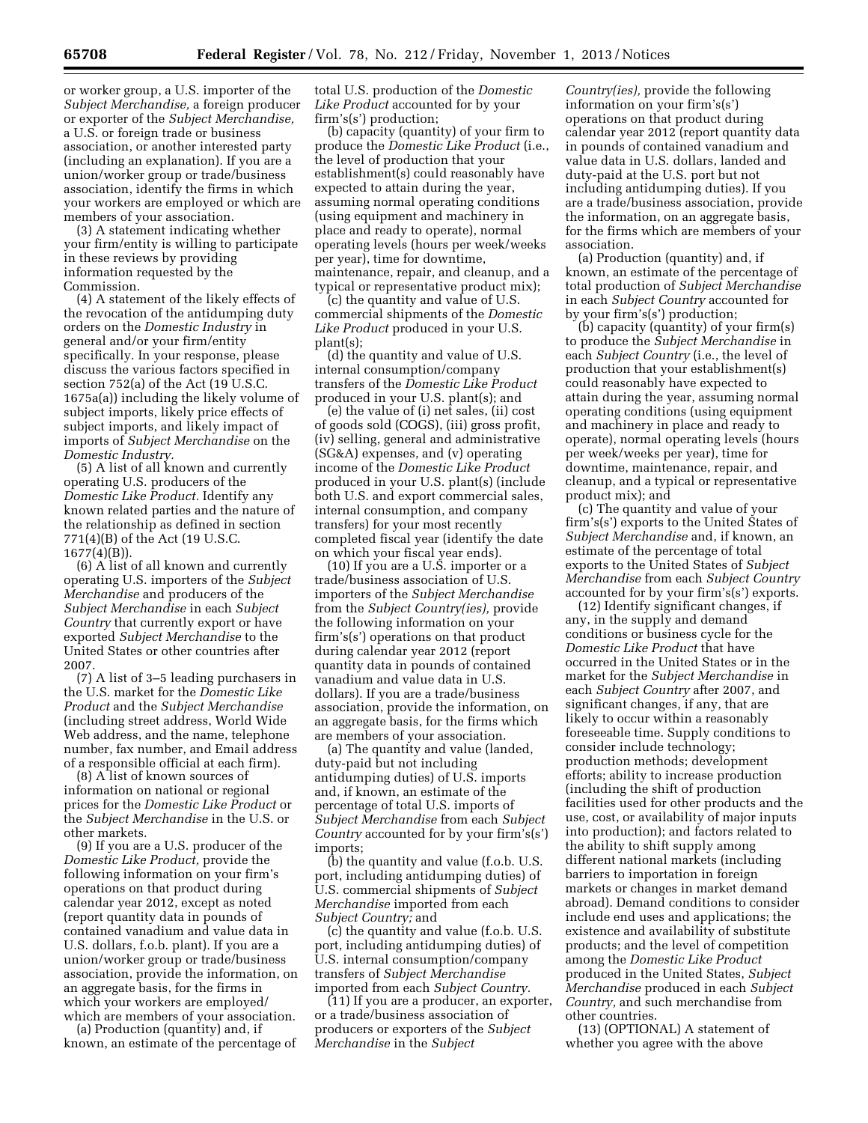or worker group, a U.S. importer of the *Subject Merchandise,* a foreign producer or exporter of the *Subject Merchandise,*  a U.S. or foreign trade or business association, or another interested party (including an explanation). If you are a union/worker group or trade/business association, identify the firms in which your workers are employed or which are members of your association.

(3) A statement indicating whether your firm/entity is willing to participate in these reviews by providing information requested by the Commission.

(4) A statement of the likely effects of the revocation of the antidumping duty orders on the *Domestic Industry* in general and/or your firm/entity specifically. In your response, please discuss the various factors specified in section 752(a) of the Act (19 U.S.C. 1675a(a)) including the likely volume of subject imports, likely price effects of subject imports, and likely impact of imports of *Subject Merchandise* on the *Domestic Industry.* 

(5) A list of all known and currently operating U.S. producers of the *Domestic Like Product.* Identify any known related parties and the nature of the relationship as defined in section 771(4)(B) of the Act (19 U.S.C. 1677(4)(B)).

(6) A list of all known and currently operating U.S. importers of the *Subject Merchandise* and producers of the *Subject Merchandise* in each *Subject Country* that currently export or have exported *Subject Merchandise* to the United States or other countries after 2007.

(7) A list of 3–5 leading purchasers in the U.S. market for the *Domestic Like Product* and the *Subject Merchandise*  (including street address, World Wide Web address, and the name, telephone number, fax number, and Email address of a responsible official at each firm).

(8) A list of known sources of information on national or regional prices for the *Domestic Like Product* or the *Subject Merchandise* in the U.S. or other markets.

(9) If you are a U.S. producer of the *Domestic Like Product,* provide the following information on your firm's operations on that product during calendar year 2012, except as noted (report quantity data in pounds of contained vanadium and value data in U.S. dollars, f.o.b. plant). If you are a union/worker group or trade/business association, provide the information, on an aggregate basis, for the firms in which your workers are employed/ which are members of your association.

(a) Production (quantity) and, if known, an estimate of the percentage of

total U.S. production of the *Domestic Like Product* accounted for by your firm's(s') production;

(b) capacity (quantity) of your firm to produce the *Domestic Like Product* (i.e., the level of production that your establishment(s) could reasonably have expected to attain during the year, assuming normal operating conditions (using equipment and machinery in place and ready to operate), normal operating levels (hours per week/weeks per year), time for downtime, maintenance, repair, and cleanup, and a typical or representative product mix);

(c) the quantity and value of U.S. commercial shipments of the *Domestic Like Product* produced in your U.S. plant(s);

(d) the quantity and value of U.S. internal consumption/company transfers of the *Domestic Like Product*  produced in your U.S. plant(s); and

(e) the value of (i) net sales, (ii) cost of goods sold (COGS), (iii) gross profit, (iv) selling, general and administrative (SG&A) expenses, and (v) operating income of the *Domestic Like Product*  produced in your U.S. plant(s) (include both U.S. and export commercial sales, internal consumption, and company transfers) for your most recently completed fiscal year (identify the date on which your fiscal year ends).

(10) If you are a U.S. importer or a trade/business association of U.S. importers of the *Subject Merchandise*  from the *Subject Country(ies),* provide the following information on your firm's(s') operations on that product during calendar year 2012 (report quantity data in pounds of contained vanadium and value data in U.S. dollars). If you are a trade/business association, provide the information, on an aggregate basis, for the firms which are members of your association.

(a) The quantity and value (landed, duty-paid but not including antidumping duties) of U.S. imports and, if known, an estimate of the percentage of total U.S. imports of *Subject Merchandise* from each *Subject Country* accounted for by your firm's(s') imports;

(b) the quantity and value (f.o.b. U.S. port, including antidumping duties) of U.S. commercial shipments of *Subject Merchandise* imported from each *Subject Country;* and

(c) the quantity and value (f.o.b. U.S. port, including antidumping duties) of U.S. internal consumption/company transfers of *Subject Merchandise*  imported from each *Subject Country.* 

(11) If you are a producer, an exporter, or a trade/business association of producers or exporters of the *Subject Merchandise* in the *Subject* 

*Country(ies),* provide the following information on your firm's(s') operations on that product during calendar year 2012 (report quantity data in pounds of contained vanadium and value data in U.S. dollars, landed and duty-paid at the U.S. port but not including antidumping duties). If you are a trade/business association, provide the information, on an aggregate basis, for the firms which are members of your association.

(a) Production (quantity) and, if known, an estimate of the percentage of total production of *Subject Merchandise*  in each *Subject Country* accounted for by your firm's(s') production;

(b) capacity (quantity) of your firm(s) to produce the *Subject Merchandise* in each *Subject Country* (i.e., the level of production that your establishment(s) could reasonably have expected to attain during the year, assuming normal operating conditions (using equipment and machinery in place and ready to operate), normal operating levels (hours per week/weeks per year), time for downtime, maintenance, repair, and cleanup, and a typical or representative product mix); and

(c) The quantity and value of your firm's(s') exports to the United States of *Subject Merchandise* and, if known, an estimate of the percentage of total exports to the United States of *Subject Merchandise* from each *Subject Country*  accounted for by your firm's(s') exports.

(12) Identify significant changes, if any, in the supply and demand conditions or business cycle for the *Domestic Like Product* that have occurred in the United States or in the market for the *Subject Merchandise* in each *Subject Country* after 2007, and significant changes, if any, that are likely to occur within a reasonably foreseeable time. Supply conditions to consider include technology; production methods; development efforts; ability to increase production (including the shift of production facilities used for other products and the use, cost, or availability of major inputs into production); and factors related to the ability to shift supply among different national markets (including barriers to importation in foreign markets or changes in market demand abroad). Demand conditions to consider include end uses and applications; the existence and availability of substitute products; and the level of competition among the *Domestic Like Product*  produced in the United States, *Subject Merchandise* produced in each *Subject Country,* and such merchandise from other countries.

(13) (OPTIONAL) A statement of whether you agree with the above